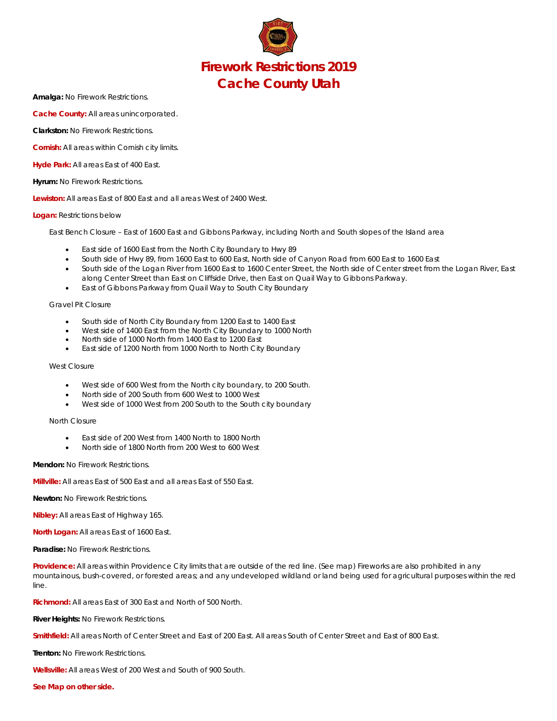

**Amalga:** No Firework Restrictions.

**Cache County:** All areas unincorporated.

**Clarkston:** No Firework Restrictions.

**Cornish:** All areas within Cornish city limits.

**Hyde Park:** All areas East of 400 East.

**Hyrum:** No Firework Restrictions.

**Lewiston:** All areas East of 800 East and all areas West of 2400 West.

#### **Logan:** Restrictions below

East Bench Closure – East of 1600 East and Gibbons Parkway, including North and South slopes of the Island area

- East side of 1600 East from the North City Boundary to Hwy 89
- South side of Hwy 89, from 1600 East to 600 East, North side of Canyon Road from 600 East to 1600 East
- South side of the Logan River from 1600 East to 1600 Center Street, the North side of Center street from the Logan River, East along Center Street than East on Cliffside Drive, then East on Quail Way to Gibbons Parkway.
- East of Gibbons Parkway from Quail Way to South City Boundary

### Gravel Pit Closure

- South side of North City Boundary from 1200 East to 1400 East
- West side of 1400 East from the North City Boundary to 1000 North
- North side of 1000 North from 1400 East to 1200 East
- East side of 1200 North from 1000 North to North City Boundary

### West Closure

- West side of 600 West from the North city boundary, to 200 South.
- North side of 200 South from 600 West to 1000 West
- West side of 1000 West from 200 South to the South city boundary

# North Closure

- East side of 200 West from 1400 North to 1800 North
- North side of 1800 North from 200 West to 600 West

# **Mendon:** No Firework Restrictions.

**Millville:** All areas East of 500 East and all areas East of 550 East.

**Newton:** No Firework Restrictions.

**Nibley:** All areas East of Highway 165.

**North Logan:** All areas East of 1600 East.

**Paradise:** No Firework Restrictions.

**Providence:** All areas within Providence City limits that are outside of the red line. (See map) Fireworks are also prohibited in any mountainous, bush-covered, or forested areas; and any undeveloped wildland or land being used for agricultural purposes within the red line.

**Richmond:** All areas East of 300 East and North of 500 North.

**River Heights:** No Firework Restrictions.

**Smithfield:** All areas North of Center Street and East of 200 East. All areas South of Center Street and East of 800 East.

**Trenton:** No Firework Restrictions.

**Wellsville:** All areas West of 200 West and South of 900 South.

*See Map on other side.*